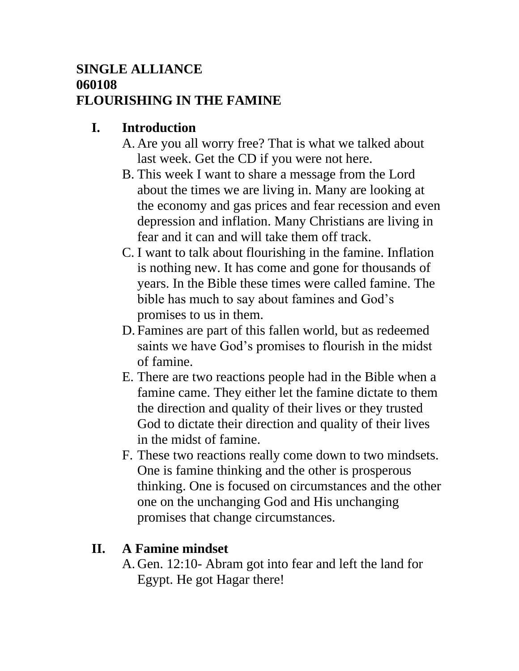#### **SINGLE ALLIANCE 060108 FLOURISHING IN THE FAMINE**

## **I. Introduction**

- A. Are you all worry free? That is what we talked about last week. Get the CD if you were not here.
- B. This week I want to share a message from the Lord about the times we are living in. Many are looking at the economy and gas prices and fear recession and even depression and inflation. Many Christians are living in fear and it can and will take them off track.
- C. I want to talk about flourishing in the famine. Inflation is nothing new. It has come and gone for thousands of years. In the Bible these times were called famine. The bible has much to say about famines and God's promises to us in them.
- D. Famines are part of this fallen world, but as redeemed saints we have God's promises to flourish in the midst of famine.
- E. There are two reactions people had in the Bible when a famine came. They either let the famine dictate to them the direction and quality of their lives or they trusted God to dictate their direction and quality of their lives in the midst of famine.
- F. These two reactions really come down to two mindsets. One is famine thinking and the other is prosperous thinking. One is focused on circumstances and the other one on the unchanging God and His unchanging promises that change circumstances.

# **II. A Famine mindset**

A. Gen. 12:10- Abram got into fear and left the land for Egypt. He got Hagar there!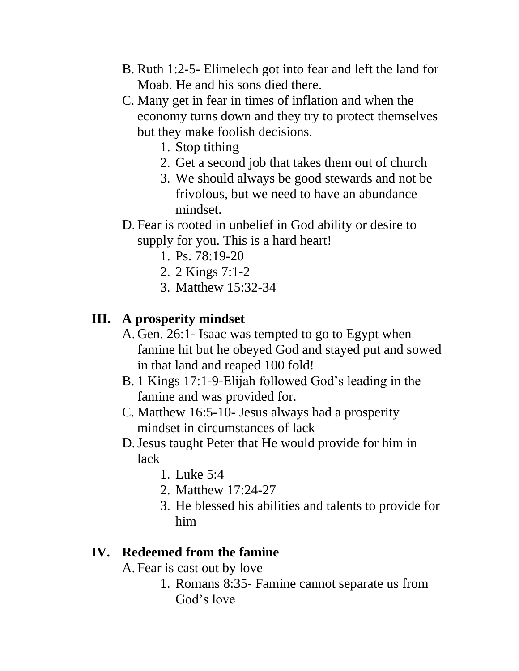- B. Ruth 1:2-5- Elimelech got into fear and left the land for Moab. He and his sons died there.
- C. Many get in fear in times of inflation and when the economy turns down and they try to protect themselves but they make foolish decisions.
	- 1. Stop tithing
	- 2. Get a second job that takes them out of church
	- 3. We should always be good stewards and not be frivolous, but we need to have an abundance mindset.
- D. Fear is rooted in unbelief in God ability or desire to supply for you. This is a hard heart!
	- 1. Ps. 78:19-20
	- 2. 2 Kings 7:1-2
	- 3. Matthew 15:32-34

### **III. A prosperity mindset**

- A. Gen. 26:1- Isaac was tempted to go to Egypt when famine hit but he obeyed God and stayed put and sowed in that land and reaped 100 fold!
- B. 1 Kings 17:1-9-Elijah followed God's leading in the famine and was provided for.
- C. Matthew 16:5-10- Jesus always had a prosperity mindset in circumstances of lack
- D.Jesus taught Peter that He would provide for him in lack
	- 1. Luke 5:4
	- 2. Matthew 17:24-27
	- 3. He blessed his abilities and talents to provide for him

## **IV. Redeemed from the famine**

A. Fear is cast out by love

1. Romans 8:35- Famine cannot separate us from God's love